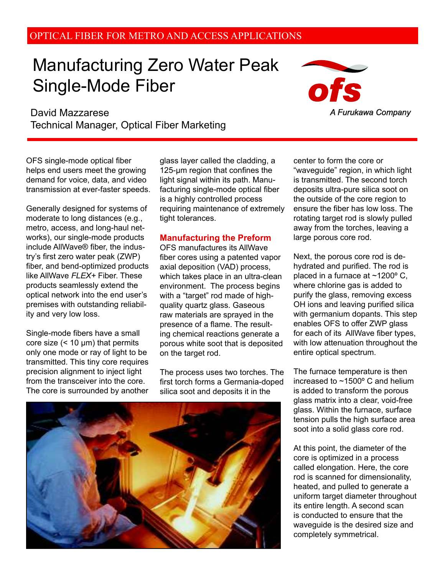## OPTICAL FIBER FOR METRO AND ACCESS APPLICATIONS

# Manufacturing Zero Water Peak Single-Mode Fiber

 David Mazzarese Technical Manager, Optical Fiber Marketing

OFS single-mode optical fiber helps end users meet the growing demand for voice, data, and video transmission at ever-faster speeds.

Generally designed for systems of moderate to long distances (e.g., metro, access, and long-haul networks), our single-mode products include AllWave® fiber, the industry's first zero water peak (ZWP) fiber, and bend-optimized products like AllWave *FLEX+* Fiber. These products seamlessly extend the optical network into the end user's premises with outstanding reliability and very low loss.

Single-mode fibers have a small core size  $($  < 10  $\mu$ m) that permits only one mode or ray of light to be transmitted. This tiny core requires precision alignment to inject light from the transceiver into the core. The core is surrounded by another glass layer called the cladding, a  $125$ -µm region that confines the light signal within its path. Manufacturing single-mode optical fiber is a highly controlled process requiring maintenance of extremely tight tolerances.

#### **Manufacturing the Preform**

OFS manufactures its AllWave fiber cores using a patented vapor axial deposition (VAD) process, which takes place in an ultra-clean environment. The process begins with a "target" rod made of highquality quartz glass. Gaseous raw materials are sprayed in the presence of a flame. The resulting chemical reactions generate a porous white soot that is deposited on the target rod.

The process uses two torches. The first torch forms a Germania-doped silica soot and deposits it in the

center to form the core or "waveguide" region, in which light is transmitted. The second torch deposits ultra-pure silica soot on the outside of the core region to ensure the fiber has low loss. The rotating target rod is slowly pulled away from the torches, leaving a large porous core rod.

Next, the porous core rod is dehydrated and purified. The rod is placed in a furnace at ~1200º C, where chlorine gas is added to purify the glass, removing excess OH ions and leaving purified silica with germanium dopants. This step enables OFS to offer ZWP glass for each of its AllWave fiber types. with low attenuation throughout the entire optical spectrum.

The furnace temperature is then increased to ~1500º C and helium is added to transform the porous glass matrix into a clear, void-free glass. Within the furnace, surface tension pulls the high surface area soot into a solid glass core rod.

At this point, the diameter of the core is optimized in a process called elongation. Here, the core rod is scanned for dimensionality, heated, and pulled to generate a uniform target diameter throughout its entire length. A second scan is conducted to ensure that the waveguide is the desired size and completely symmetrical.